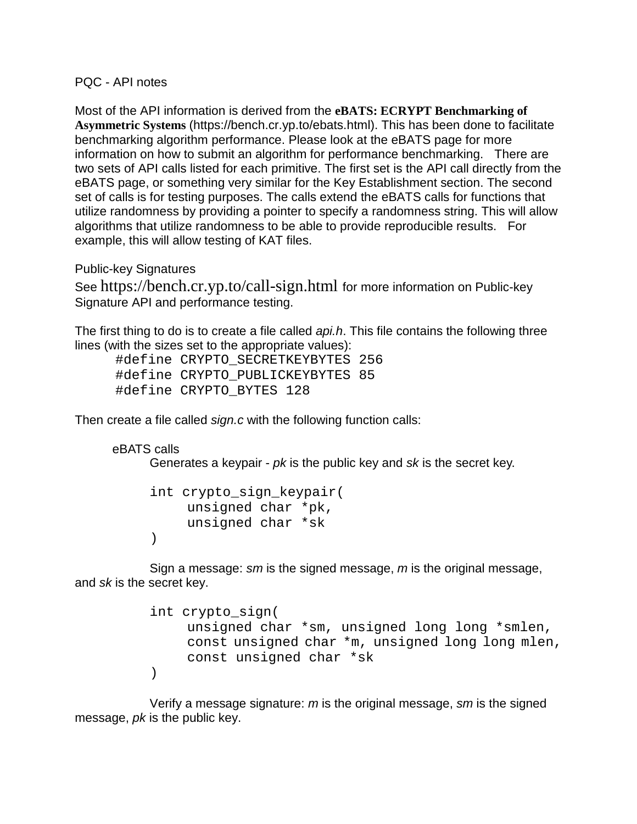PQC - API notes

Most of the API information is derived from the **eBATS: ECRYPT Benchmarking of Asymmetric Systems** (https://bench.cr.yp.to/ebats.html). This has been done to facilitate benchmarking algorithm performance. Please look at the eBATS page for more information on how to submit an algorithm for performance benchmarking. There are two sets of API calls listed for each primitive. The first set is the API call directly from the eBATS page, or something very similar for the Key Establishment section. The second set of calls is for testing purposes. The calls extend the eBATS calls for functions that utilize randomness by providing a pointer to specify a randomness string. This will allow algorithms that utilize randomness to be able to provide reproducible results. For example, this will allow testing of KAT files.

Public-key Signatures

See https://bench.cr.yp.to/call-sign.html for more information on Public-key Signature API and performance testing.

The first thing to do is to create a file called *api.h*. This file contains the following three lines (with the sizes set to the appropriate values):

 #define CRYPTO\_SECRETKEYBYTES 256 #define CRYPTO\_PUBLICKEYBYTES 85 #define CRYPTO\_BYTES 128

Then create a file called *sign.c* with the following function calls:

eBATS calls

Generates a keypair - *pk* is the public key and *sk* is the secret key.

```
int crypto_sign_keypair(
     unsigned char *pk,
     unsigned char *sk
\left( \right)
```
Sign a message: *sm* is the signed message, *m* is the original message, and *sk* is the secret key.

```
int crypto_sign(
    unsigned char *sm, unsigned long long *smlen,
     const unsigned char *m, unsigned long long mlen,
     const unsigned char *sk
\left( \right)
```
Verify a message signature: *m* is the original message, *sm* is the signed message, *pk* is the public key.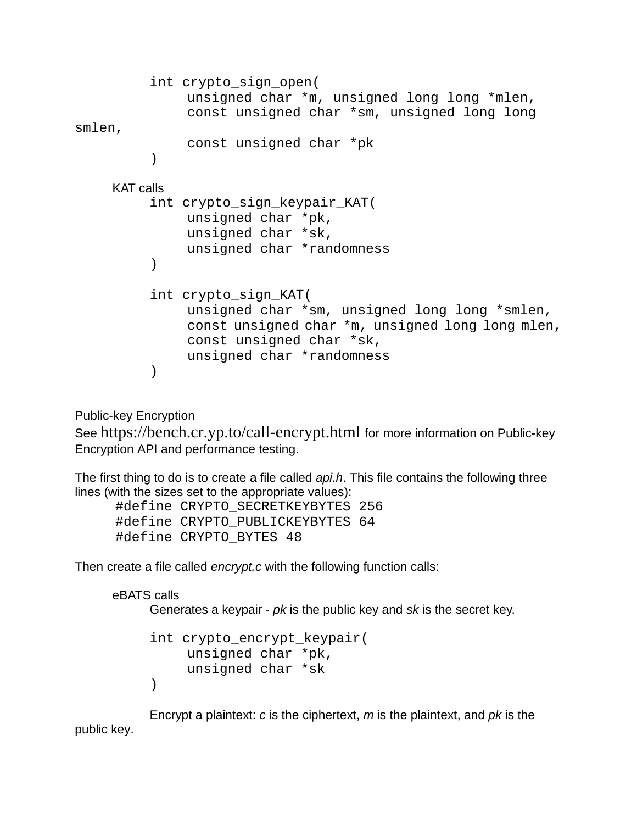```
int crypto_sign_open(
              unsigned char *m, unsigned long long *mlen,
              const unsigned char *sm, unsigned long long 
smlen,
              const unsigned char *pk
         )
    KAT calls
         int crypto_sign_keypair_KAT(
              unsigned char *pk,
              unsigned char *sk,
              unsigned char *randomness
         )
         int crypto_sign_KAT(
              unsigned char *sm, unsigned long long *smlen,
              const unsigned char *m, unsigned long long mlen,
              const unsigned char *sk,
              unsigned char *randomness
         )
```
Public-key Encryption

See https://bench.cr.yp.to/call-encrypt.html for more information on Public-key Encryption API and performance testing.

The first thing to do is to create a file called *api.h*. This file contains the following three lines (with the sizes set to the appropriate values):

```
 #define CRYPTO_SECRETKEYBYTES 256
 #define CRYPTO_PUBLICKEYBYTES 64
 #define CRYPTO_BYTES 48
```
Then create a file called *encrypt.c* with the following function calls:

```
eBATS calls
      Generates a keypair - pk is the public key and sk is the secret key.
      int crypto_encrypt_keypair(
```

```
unsigned char *pk,
     unsigned char *sk
\left( \right)
```
Encrypt a plaintext: *c* is the ciphertext, *m* is the plaintext, and *pk* is the public key.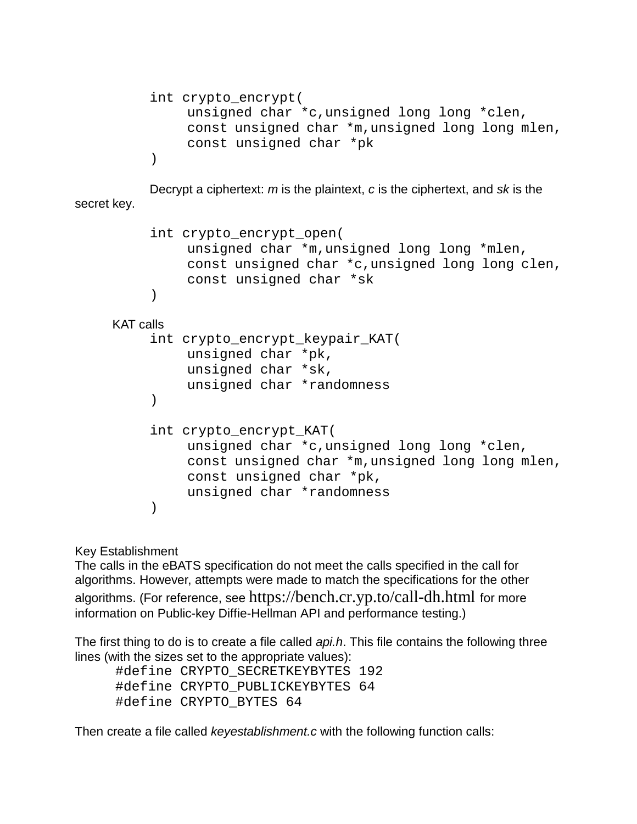```
int crypto_encrypt(
    unsigned char *c,unsigned long long *clen,
    const unsigned char *m,unsigned long long mlen,
    const unsigned char *pk
\left( \right)
```
Decrypt a ciphertext: *m* is the plaintext, *c* is the ciphertext, and *sk* is the secret key.

```
int crypto_encrypt_open(
    unsigned char *m,unsigned long long *mlen,
    const unsigned char *c,unsigned long long clen,
    const unsigned char *sk
)
```
KAT calls

```
int crypto_encrypt_keypair_KAT(
    unsigned char *pk,
    unsigned char *sk,
    unsigned char *randomness
)
int crypto_encrypt_KAT(
    unsigned char *c,unsigned long long *clen,
    const unsigned char *m,unsigned long long mlen,
    const unsigned char *pk,
    unsigned char *randomness
\left( \right)
```
Key Establishment

The calls in the eBATS specification do not meet the calls specified in the call for algorithms. However, attempts were made to match the specifications for the other algorithms. (For reference, see https://bench.cr.yp.to/call-dh.html for more information on Public-key Diffie-Hellman API and performance testing.)

The first thing to do is to create a file called *api.h*. This file contains the following three lines (with the sizes set to the appropriate values):

```
 #define CRYPTO_SECRETKEYBYTES 192
 #define CRYPTO_PUBLICKEYBYTES 64
 #define CRYPTO_BYTES 64
```
Then create a file called *keyestablishment.c* with the following function calls: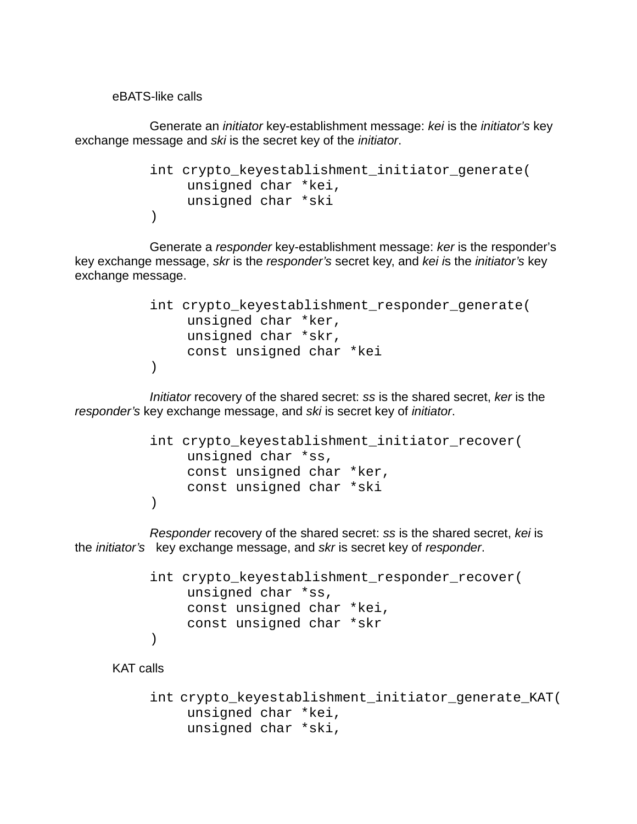eBATS-like calls

Generate an *initiator* key-establishment message: *kei* is the *initiator's* key exchange message and *ski* is the secret key of the *initiator*.

```
int crypto_keyestablishment_initiator_generate(
     unsigned char *kei,
     unsigned char *ski
\left( \right)
```
Generate a *responder* key-establishment message: *ker* is the responder's key exchange message, *skr* is the *responder's* secret key, and *kei i*s the *initiator's* key exchange message.

```
int crypto_keyestablishment_responder_generate(
    unsigned char *ker,
    unsigned char *skr,
    const unsigned char *kei
)
```
*Initiator* recovery of the shared secret: *ss* is the shared secret, *ker* is the *responder's* key exchange message, and *ski* is secret key of *initiator*.

```
int crypto_keyestablishment_initiator_recover(
    unsigned char *ss,
    const unsigned char *ker,
    const unsigned char *ski
\lambda
```
*Responder* recovery of the shared secret: *ss* is the shared secret, *kei* is the *initiator's* key exchange message, and *skr* is secret key of *responder*.

```
int crypto_keyestablishment_responder_recover(
    unsigned char *ss,
    const unsigned char *kei,
    const unsigned char *skr
)
```
KAT calls

```
int crypto_keyestablishment_initiator_generate_KAT(
    unsigned char *kei,
    unsigned char *ski,
```